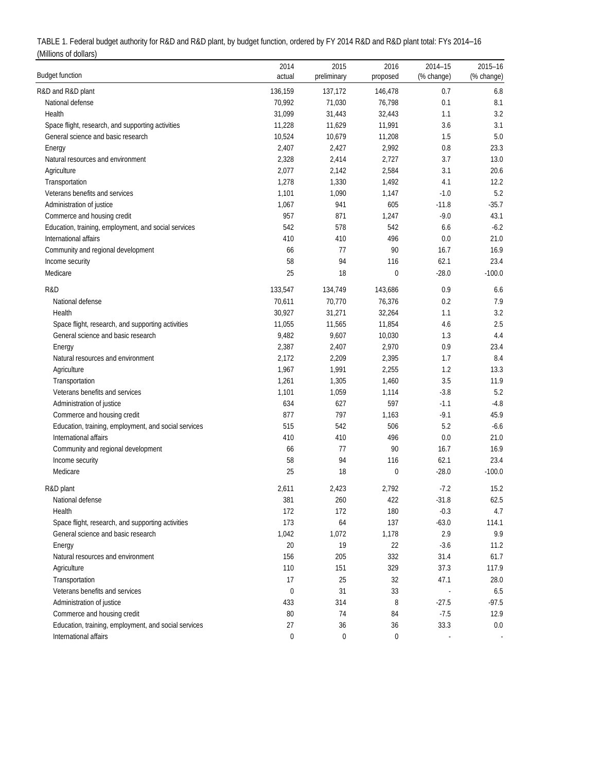| TABLE 1. Federal budget authority for R&D and R&D plant, by budget function, ordered by FY 2014 R&D and R&D plant total: FYs 2014-16 |  |
|--------------------------------------------------------------------------------------------------------------------------------------|--|
| (Millions of dollars)                                                                                                                |  |

| <b>Budget function</b>                               | 2014<br>actual | 2015<br>preliminary | 2016<br>proposed | 2014-15<br>(% change) | $2015 - 16$<br>(% change) |
|------------------------------------------------------|----------------|---------------------|------------------|-----------------------|---------------------------|
| R&D and R&D plant                                    | 136,159        | 137,172             | 146,478          | 0.7                   | 6.8                       |
| National defense                                     | 70,992         | 71,030              | 76,798           | 0.1                   | 8.1                       |
| Health                                               | 31,099         | 31,443              | 32,443           | 1.1                   | 3.2                       |
| Space flight, research, and supporting activities    | 11,228         | 11,629              | 11,991           | 3.6                   | 3.1                       |
| General science and basic research                   | 10,524         | 10,679              | 11,208           | 1.5                   | 5.0                       |
| Energy                                               | 2,407          | 2,427               | 2,992            | $0.8\,$               | 23.3                      |
| Natural resources and environment                    | 2,328          | 2,414               | 2,727            | 3.7                   | 13.0                      |
| Agriculture                                          | 2,077          | 2,142               | 2,584            | 3.1                   | 20.6                      |
| Transportation                                       | 1,278          | 1,330               | 1,492            | 4.1                   | 12.2                      |
| Veterans benefits and services                       | 1,101          | 1,090               | 1,147            | $-1.0$                | 5.2                       |
| Administration of justice                            | 1,067          | 941                 | 605              | $-11.8$               | $-35.7$                   |
| Commerce and housing credit                          | 957            | 871                 | 1,247            | $-9.0$                | 43.1                      |
| Education, training, employment, and social services | 542            | 578                 | 542              | 6.6                   | $-6.2$                    |
| International affairs                                | 410            | 410                 | 496              | $0.0\,$               | 21.0                      |
| Community and regional development                   | 66             | 77                  | 90               | 16.7                  | 16.9                      |
| Income security                                      | 58             | 94                  | 116              | 62.1                  | 23.4                      |
| Medicare                                             | 25             | 18                  | $\mathbf 0$      | $-28.0$               | $-100.0$                  |
| R&D                                                  | 133,547        | 134,749             | 143,686          | 0.9                   | 6.6                       |
| National defense                                     | 70,611         | 70,770              | 76,376           | 0.2                   | 7.9                       |
| Health                                               | 30,927         | 31,271              | 32,264           | 1.1                   | 3.2                       |
| Space flight, research, and supporting activities    | 11,055         | 11,565              | 11,854           | 4.6                   | 2.5                       |
| General science and basic research                   | 9,482          | 9,607               | 10,030           | 1.3                   | 4.4                       |
| Energy                                               | 2,387          | 2,407               | 2,970            | 0.9                   | 23.4                      |
| Natural resources and environment                    | 2,172          | 2,209               | 2,395            | 1.7                   | 8.4                       |
| Agriculture                                          | 1,967          | 1,991               | 2,255            | 1.2                   | 13.3                      |
| Transportation                                       | 1,261          | 1,305               | 1,460            | 3.5                   | 11.9                      |
| Veterans benefits and services                       | 1,101          | 1,059               | 1,114            | $-3.8$                | 5.2                       |
| Administration of justice                            | 634            | 627                 | 597              | $-1.1$                | $-4.8$                    |
| Commerce and housing credit                          | 877            | 797                 | 1,163            | $-9.1$                | 45.9                      |
| Education, training, employment, and social services | 515            | 542                 | 506              | 5.2                   | $-6.6$                    |
| International affairs                                | 410            | 410                 | 496              | $0.0\,$               | 21.0                      |
| Community and regional development                   | 66             | 77                  | 90               | 16.7                  | 16.9                      |
| Income security                                      | 58             | 94                  | 116              | 62.1                  | 23.4                      |
| Medicare                                             | 25             | 18                  | 0                | $-28.0$               | $-100.0$                  |
| R&D plant                                            | 2,611          | 2,423               | 2,792            | $-7.2$                | 15.2                      |
| National defense                                     | 381            | 260                 | 422              | $-31.8$               | 62.5                      |
| Health                                               | 172            | 172                 | 180              | $-0.3$                | 4.7                       |
| Space flight, research, and supporting activities    | 173            | 64                  | 137              | $-63.0$               | 114.1                     |
| General science and basic research                   | 1,042          | 1,072               | 1,178            | 2.9                   | 9.9                       |
| Energy                                               | 20             | 19                  | 22               | $-3.6$                | 11.2                      |
| Natural resources and environment                    | 156            | 205                 | 332              | 31.4                  | 61.7                      |
| Agriculture                                          | 110            | 151                 | 329              | 37.3                  | 117.9                     |
| Transportation                                       | 17             | 25                  | 32               | 47.1                  | 28.0                      |
| Veterans benefits and services                       | 0              | 31                  | 33               |                       | $6.5\,$                   |
| Administration of justice                            | 433            | 314                 | 8                | $-27.5$               | $-97.5$                   |
| Commerce and housing credit                          | 80             | 74                  | 84               | $-7.5$                | 12.9                      |
| Education, training, employment, and social services | 27             | 36                  | 36               | 33.3                  | 0.0                       |
| International affairs                                | 0              | 0                   | 0                |                       |                           |